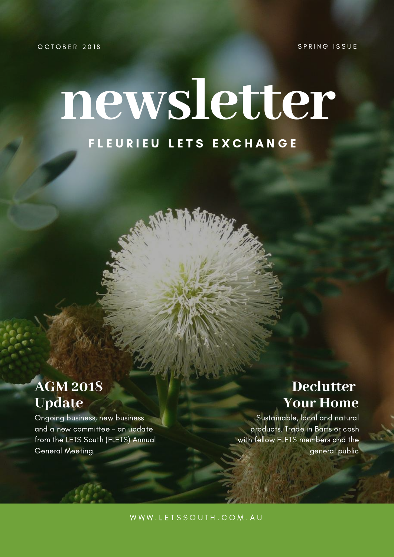SPRING ISSUE

OCTOBER 2018

# **newsletter** FLEURIEU LETS EXCHANGE

## **AGM 2018 Update**

Ongoing business, new business and a new committee - an update from the LETS South (FLETS) Annual General Meeting.

## **Declutter Your Home**

Sustainable, local and natural products. Trade in Barts or cash with fellow FLETS members and the general public

WWW.LETSSOUTH.COM.AU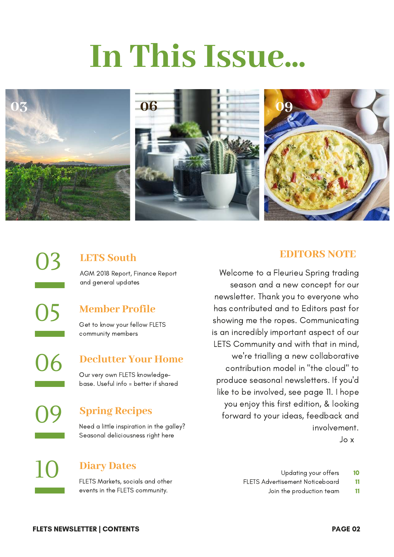# **In This Issue...**



03 **LETS South** AGM 2018 Report, Finance Report and general updates

**Member Profile**

Get to know your fellow FLETS community members

**Declutter Your Home**

Our very own FLETS knowledgebase. Useful info = better if shared

#### **Spring Recipes**

**Diary Dates**

Need a little inspiration in the galley? Seasonal deliciousness right here

FLETS Markets, socials and other events in the FLETS community.

10 Updating your offers

- 11 FLETS Advertisement Noticeboard
	- 11 Join the production team

09

05

06

10

### **EDITORS NOTE**

season and a new concept for our newsletter. Thank you to everyone who has contributed and to Editors past for showing me the ropes. Communicating is an incredibly important aspect of our LETS Community and with that in mind, we're trialling a new collaborative contribution model in "the cloud" to produce seasonal newsletters. If you'd like to be involved, see page 11. I hope you enjoy this first edition, & looking forward to your ideas, feedback and involvement. Jo x

Welcome to a Fleurieu Spring trading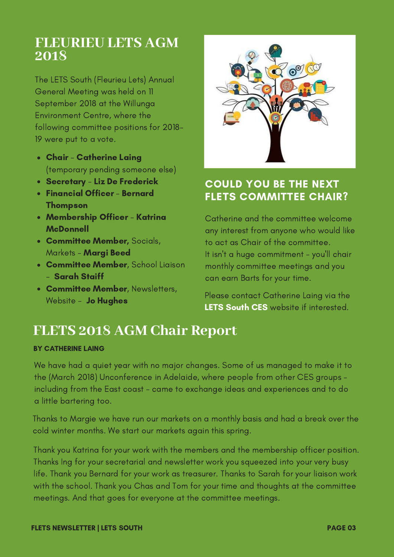## **FLEURIEU LETS AGM 2018**

The LETS South (Fleurieu Lets) Annual General Meeting was held on 11 September 2018 at the Willunga Environment Centre, where the following committee positions for 2018- 19 were put to a vote.

- Chair Catherine Laing (temporary pending someone else)
- Secretary Liz De Frederick
- Financial Officer Bernard Thompson
- Membership Officer Katrina **McDonnell**
- **Committee Member, Socials,** Markets - Margi Beed
- **Committee Member**, School Liaison - Sarah Staiff
- **Committee Member, Newsletters,** Website - **Jo Hughes**



### COULD YOU BE THE NEXT FLETS COMMITTEE CHAIR?

Catherine and the committee welcome any interest from anyone who would like to act as Chair of the committee. It isn't a huge [commitment](https://www.communityexchange.net.au/) - you'll chair monthly committee meetings and you can earn Barts for your time.

Please contact Catherine Laing via the LETS South CES website if [interested.](https://www.communityexchange.net.au/)

## **FLETS 2018 AGM Chair Report**

#### BY CATHERINE LAING

We have had a quiet year with no major changes. Some of us managed to make it to the (March 2018) Unconference in Adelaide, where people from other CES groups including from the East coast - came to exchange ideas and experiences and to do a little bartering too.

Thanks to Margie we have run our markets on a monthly basis and had a break over the cold winter months. We start our markets again this spring.

Thank you Katrina for your work with the members and the membership officer position. Thanks Ing for your secretarial and newsletter work you squeezed into your very busy life. Thank you Bernard for your work as treasurer. Thanks to Sarah for your liaison work with the school. Thank you Chas and Tom for your time and thoughts at the committee meetings. And that goes for everyone at the committee meetings.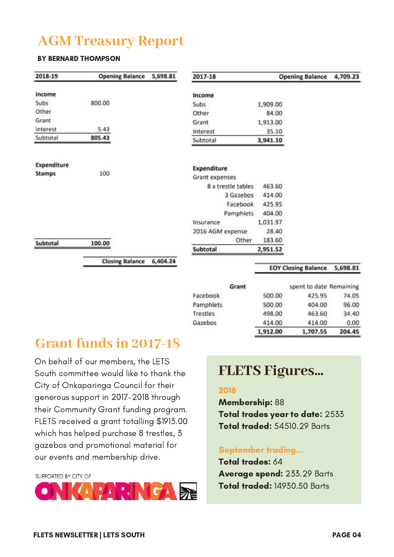## **AGM Treasury Report**

#### BY BERNARD THOMPSON

| 2018-19                      | <b>Opening Balance</b> | 5,698.81 | 2017-18                       |          | <b>Opening Balance</b>     | 4,709.23 |
|------------------------------|------------------------|----------|-------------------------------|----------|----------------------------|----------|
| Income                       |                        |          | Income                        |          |                            |          |
| Subs                         | 800.00                 |          | Subs                          | 1,909.00 |                            |          |
| Other                        |                        |          | Other                         | 84.00    |                            |          |
| Grant                        |                        |          | Grant                         | 1,913.00 |                            |          |
| Interest                     | 5.43                   |          | Interest                      | 35.10    |                            |          |
| Subtotal                     | 805.43                 |          | Subtotal                      | 3,941.10 |                            |          |
| Expenditure<br><b>Stamps</b> | 100                    |          | Expenditure<br>Grant expenses |          |                            |          |
|                              |                        |          | 8 x trestle tables            | 463.60   |                            |          |
|                              |                        |          | 3 Gazebos                     | 414.00   |                            |          |
|                              |                        |          | Facebook                      | 425.95   |                            |          |
|                              |                        |          | Pamphlets                     | 404.00   |                            |          |
|                              |                        |          | Insurance                     | 1,031.97 |                            |          |
|                              |                        |          | 2016 AGM expense              | 28.40    |                            |          |
| Subtotal                     | 100.00                 |          | Other                         | 183.60   |                            |          |
|                              |                        |          | Subtotal                      | 2,951.52 |                            |          |
|                              | <b>Closing Balance</b> | 6,404.24 |                               |          | <b>EOY Closing Balance</b> | 5,698.81 |
|                              |                        |          | Grant                         |          | spent to date Remaining    |          |
|                              |                        |          | Facebook                      | 500.00   | 425.95                     | 74.05    |
|                              |                        |          | Pamphlets                     | 500.00   | 404.00                     | 96.00    |

Trestles

Gazebos

## **Grant funds in 2017-18**

On behalf of our members, the LETS South committee would like to thank the City of Onkaparinga Council for their generous support in 2017-2018 through their Community Grant funding program. FLETS received a grant totalling \$1913.00 which has helped purchase 8 trestles, 3 gazebos and promotional material for our events and membership drive.

SLIPPORTED BY CITY OF



## **FLETS Figures...**

498.00

414.00 1,912.00

463.60

414.00

1,707.55

34.40

204.45

 $0.00$ 

#### 2018

Membership: 88 Total trades year to date: 2533 Total traded: 54510.29 Barts

#### September trading...

Total trades: 64 Average spend: 233.29 Barts Total traded: 14930.50 Barts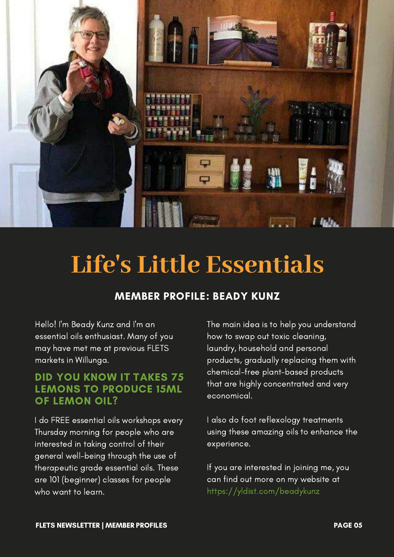

## **Life's Little Essentials**

#### MEMBER PROFILE: BEADY KUNZ

Hello! I'm Beady Kunz and I'm an essential oils enthusiast. Many of you may have met me at previous FLETS markets in Willunga.

#### DID YOU KNOW IT TAKES 75 LEMONS TO PRODUCE 15ML OF LEMON OIL?

I do FREE essential oils workshops every Thursday morning for people who are interested in taking control of their general well-being through the use of therapeutic grade essential oils. These are 101 (beginner) classes for people who want to learn.

The main idea is to help you understand how to swap out toxic cleaning, laundry, household and personal products, gradually replacing them with chemical-free plant-based products that are highly concentrated and very economical.

I also do foot reflexology treatments using these amazing oils to enhance the experience.

If you are interested in joining me, you can find out more on my website at <https://yldist.com/beadykunz>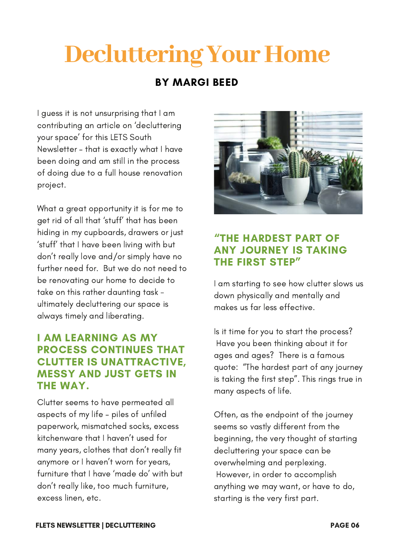## **Decluttering Your Home**

#### BY MARGI BEED

I guess it is not unsurprising that I am contributing an article on 'decluttering your space' for this LETS South Newsletter – that is exactly what I have been doing and am still in the process of doing due to a full house renovation project.

What a great opportunity it is for me to get rid of all that 'stuff' that has been hiding in my cupboards, drawers or just 'stuff' that I have been living with but don't really love and/or simply have no further need for. But we do not need to be renovating our home to decide to take on this rather daunting task ultimately decluttering our space is always timely and liberating.

#### I AM LEARNING AS MY PROCESS CONTINUES THAT CLUTTER IS UNATTRACTIVE, MESSY AND JUST GETS IN THE WAY.

Clutter seems to have permeated all aspects of my life – piles of unfiled paperwork, mismatched socks, excess [kitchenware](https://yldist.com/beadykunz) that I haven't used for many years, clothes that don't really fit anymore or I haven't worn for years, furniture that I have 'made do' with but don't really like, too much furniture, excess linen, etc.



#### "THE HARDEST PART OF ANY JOURNEY IS TAKING THE FIRST STEP"

I am starting to see how clutter slows us down physically and mentally and makes us far less effective.

Is it time for you to start the process? Have you been thinking about it for ages and ages? There is a famous quote: "The hardest part of any journey is taking the first step". This rings true in many aspects of life.

Often, as the endpoint of the journey seems so vastly different from the beginning, the very thought of starting decluttering your space can be overwhelming and perplexing. However, in order to accomplish anything we may want, or have to do, starting is the very first part.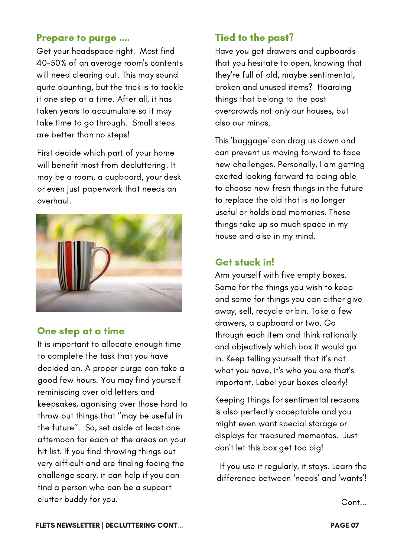#### Prepare to purge ….

Get your headspace right. Most find 40-50% of an average room's contents will need clearing out. This may sound quite daunting, but the trick is to tackle it one step at a time. After all, it has taken years to accumulate so it may take time to go through. Small steps are better than no steps!

First decide which part of your home will benefit most from decluttering. It may be a room, a cupboard, your desk or even just paperwork that needs an overhaul.



#### One step at a time

It is important to allocate enough time to complete the task that you have decided on. A proper purge can take a good few hours. You may find yourself [reminiscing](https://yldist.com/beadykunz) over old letters and keepsakes, agonising over those hard to throw out things that ''may be useful in the future''. So, set aside at least one afternoon for each of the areas on your hit list. If you find throwing things out very difficult and are finding facing the challenge scary, it can help if you can find a person who can be a support clutter buddy for you.

#### Tied to the past?

Have you got drawers and cupboards that you hesitate to open, knowing that they're full of old, maybe [sentimental,](https://yldist.com/beadykunz) broken and unused items? Hoarding things that belong to the past overcrowds not only our houses, but also our minds.

This 'baggage' can drag us down and can prevent us moving forward to face new [challenges.](https://yldist.com/beadykunz) Personally, I am getting excited looking forward to being able to choose new fresh things in the future to replace the old that is no longer useful or holds bad memories. These things take up so much space in my house and also in my mind.

#### Get stuck in!

Arm yourself with five empty boxes. Some for the things you wish to keep and some for things you can either give away, sell, recycle or bin. Take a few drawers, a cupboard or two. Go through each item and think rationally and [objectively](https://yldist.com/beadykunz) which box it would go in. Keep telling yourself that it's not what you have, it's who you are that's important. Label your boxes clearly!

Keeping things for sentimental reasons is also perfectly [acceptable](https://yldist.com/beadykunz) and you might even want special storage or displays for treasured mementos. Just don't let this box get too big!

If you use it regularly, it stays. Learn the [difference](https://yldist.com/beadykunz) between 'needs' and 'wants'!

Cont...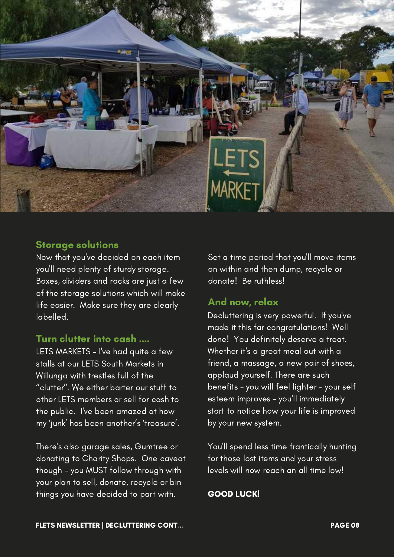

#### Storage solutions

Now that you've decided on each item you'll need plenty of sturdy storage. Boxes, dividers and racks are just a few of the storage solutions which will make life easier. Make sure they are clearly [labelled.](https://yldist.com/beadykunz)

#### Turn clutter into cash ….

LETS MARKETS – I've had quite a few stalls at our LETS South Markets in Willunga with trestles full of the ''clutter''. We either barter our stuff to other LETS members or sell for cash to the public. I've been amazed at how my 'junk' has been another's ['treasure'.](https://yldist.com/beadykunz)

There's also garage sales, Gumtree or [donating](https://yldist.com/beadykunz) to Charity Shops. One caveat though - you MUST follow through with your plan to sell, donate, recycle or bin things you have decided to part with.

Set a time period that you'll move items on within and then dump, recycle or donate! Be [ruthless!](https://yldist.com/beadykunz)

#### And now, relax

Decluttering is very powerful. If you've made it this far [congratulations!](https://yldist.com/beadykunz) Well done! You definitely deserve a treat. Whether it's a great meal out with a friend, a massage, a new pair of shoes, applaud yourself. There are such benefits – you will feel lighter – your self esteem improves - you'll immediately start to notice how your life is improved by your new system.

You'll spend less time frantically hunting for those lost items and your stress levels will now reach an all time low!

#### GOOD LUCK!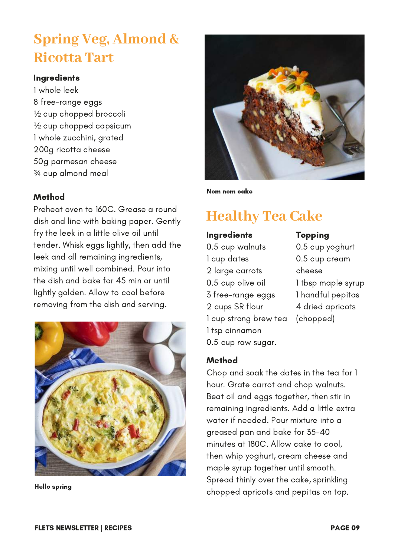## **Spring Veg, Almond & Ricotta Tart**

#### **Ingredients**

1 whole leek 8 free-range eggs ½ cup chopped broccoli ½ cup chopped capsicum 1 whole zucchini, grated 200g ricotta cheese 50g parmesan cheese ¾ cup almond meal

#### Method

Preheat oven to 160C. Grease a round dish and line with baking paper. Gently fry the leek in a little olive oil until tender. Whisk eggs lightly, then add the leek and all remaining ingredients, mixing until well combined. Pour into the dish and bake for 45 min or until lightly golden. Allow to cool before removing from the dish and serving.



Hello spring



Nom nom cake

## **Healthy Tea Cake**

#### Ingredients

0.5 cup walnuts cup dates large carrots 0.5 cup olive oil free-range eggs cups SR flour cup strong brew tea tsp cinnamon 0.5 cup raw sugar.

#### Topping 0.5 cup yoghurt

0.5 cup cream cheese 1 tbsp maple syrup 1 handful pepitas 4 dried apricots (chopped)

#### Method

Chop and soak the dates in the tea for 1 hour. Grate carrot and chop walnuts. Beat oil and eggs together, then stir in remaining ingredients. Add a little extra water if needed. Pour mixture into a greased pan and bake for 35-40 minutes at 180C. Allow cake to cool, then whip yoghurt, cream cheese and maple syrup together until smooth. Spread thinly over the cake, sprinkling chopped apricots and pepitas on top.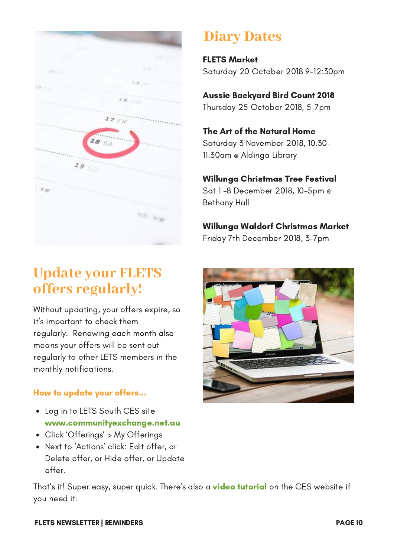| <b>START OF</b>   |                                                                                                                                                                                                                                                                                                                                                 |
|-------------------|-------------------------------------------------------------------------------------------------------------------------------------------------------------------------------------------------------------------------------------------------------------------------------------------------------------------------------------------------|
| <b>START</b>      | <b>WA</b>                                                                                                                                                                                                                                                                                                                                       |
| <b>CONTRACTOR</b> | <b>FACUL</b>                                                                                                                                                                                                                                                                                                                                    |
| la sur            | KA MO                                                                                                                                                                                                                                                                                                                                           |
|                   | 1800                                                                                                                                                                                                                                                                                                                                            |
|                   | $\frac{1}{2}$<br>$27$ FR                                                                                                                                                                                                                                                                                                                        |
|                   | 18 54<br>$\mathbf{Q}$                                                                                                                                                                                                                                                                                                                           |
|                   | <b><i>AAAAA</i></b>                                                                                                                                                                                                                                                                                                                             |
| 1950              | $\frac{1}{2} \sum_{i=1}^{n} \sum_{j=1}^{n} \sum_{j=1}^{n} \sum_{j=1}^{n} \sum_{j=1}^{n} \sum_{j=1}^{n} \sum_{j=1}^{n} \sum_{j=1}^{n} \sum_{j=1}^{n} \sum_{j=1}^{n} \sum_{j=1}^{n} \sum_{j=1}^{n} \sum_{j=1}^{n} \sum_{j=1}^{n} \sum_{j=1}^{n} \sum_{j=1}^{n} \sum_{j=1}^{n} \sum_{j=1}^{n} \sum_{j=1}^{n} \sum_{j=1}^{n} \sum_{j=1}^{n} \sum_{$ |
|                   |                                                                                                                                                                                                                                                                                                                                                 |
| $X_{\text{RF}}$   |                                                                                                                                                                                                                                                                                                                                                 |
|                   |                                                                                                                                                                                                                                                                                                                                                 |
|                   | <b>Call Strate</b>                                                                                                                                                                                                                                                                                                                              |
|                   |                                                                                                                                                                                                                                                                                                                                                 |
|                   |                                                                                                                                                                                                                                                                                                                                                 |

## **Update your FLETS offers regularly!**

Without updating, your offers expire, so it's important to check them regularly. Renewing each month also means your offers will be sent out regularly to other LETS members in the monthly notifications.

#### How to update your offers...

- Log in to LETS South CES site [www.communityexchange.net.au](https://www.communityexchange.net.au/)
- Click 'Offerings' > My Offerings
- Next to 'Actions' click: Edit offer, or Delete offer, or Hide offer, or Update offer.

That's it! Super easy, super quick. There's also a **video tutorial** on the CES website if you need it.

## **Diary Dates**

FLETS Market Saturday 20 October 2018 9-12:30pm

Aussie Backyard Bird Count 2018 Thursday 25 October 2018, 5-7pm

The Art of the Natural Home Saturday 3 November 2018, 10.30- 11.30am @ Aldinga Library

### Willunga Christmas Tree Festival

Sat 1 -8 December 2018, 10-5pm @ Bethany Hall

Willunga Waldorf Christmas Market Friday 7th December 2018, 3-7pm